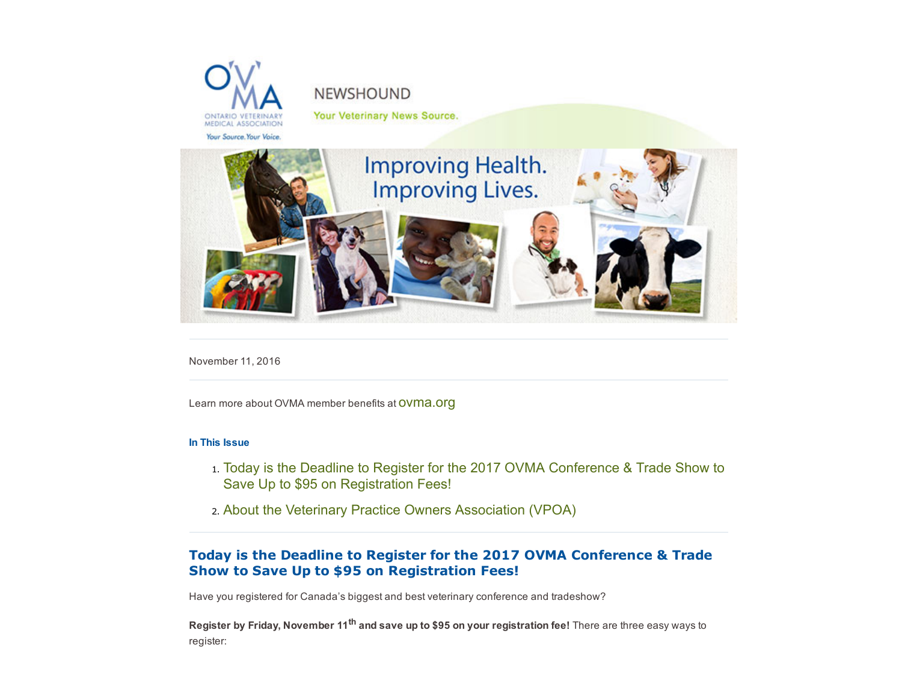

# **NEWSHOUND**

Your Veterinary News Source.



November 11, 2016

Learn more about OVMA member benefits at **OVMA.Org** 

#### In This Issue

- 1. [Today is the Deadline to Register for the 2017 OVMA Conference & Trade Show to](#page-1-0) Save Up to \$95 on Registration Fees!
- 2. [About the Veterinary Practice Owners Association \(VPOA\)](#page-1-1)

## Today is the Deadline to Register for the 2017 OVMA Conference & Trade Show to Save Up to \$95 on Registration Fees!

Have you registered for Canada's biggest and best veterinary conference and tradeshow?

Register by Friday, November 11<sup>th</sup> and save up to \$95 on your registration fee! There are three easy ways to register: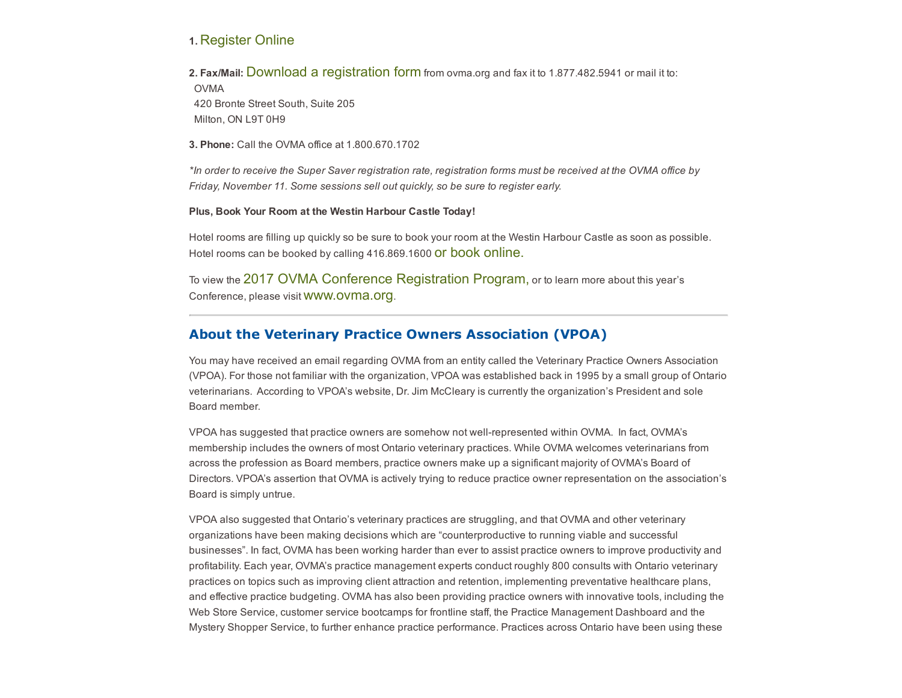### 1. [Register Online](http://online.ovma.org/ovmassa/f?p=SSA:4010:1768428479109::::CUST_CONTEXT,P0_EVENT_ID:EVT1094,1094)

2. Fax/Mail: [Download a registration form](https://www.ovma.org/assets/1/6/2017_OVMA_Conference_Registration_Form.pdf) from ovma.org and fax it to 1.877.482.5941 or mail it to:

<span id="page-1-0"></span>OVMA 420 Bronte Street South, Suite 205 Milton, ON L9T 0H9

3. Phone: Call the OVMA office at 1.800.670.1702

\*In order to receive the Super Saver registration rate, registration forms must be received at the OVMA office by Friday, November 11. Some sessions sell out quickly, so be sure to register early.

#### Plus, Book Your Room at the Westin Harbour Castle Today!

Hotel rooms are filling up quickly so be sure to book your room at the Westin Harbour Castle as soon as possible. Hotel rooms can be booked by calling 416.869.1600 **OF book Online.** 

To view the [2017 OVMA Conference Registration Program,](http://publications.ovma.org/i/747087-2017-ovma-conference-registration-program) or to learn more about this year's Conference, please visit [www.ovma.org](http://www.ovma.org/).

## About the Veterinary Practice Owners Association (VPOA)

You may have received an email regarding OVMA from an entity called the Veterinary Practice Owners Association (VPOA). For those not familiar with the organization, VPOA was established back in 1995 by a small group of Ontario veterinarians. According to VPOA's website, Dr. Jim McCleary is currently the organization's President and sole Board member.

<span id="page-1-1"></span>VPOA has suggested that practice owners are somehow not wellrepresented within OVMA. In fact, OVMA's membership includes the owners of most Ontario veterinary practices. While OVMA welcomes veterinarians from across the profession as Board members, practice owners make up a significant majority of OVMA's Board of Directors. VPOA's assertion that OVMA is actively trying to reduce practice owner representation on the association's Board is simply untrue.

VPOA also suggested that Ontario's veterinary practices are struggling, and that OVMA and other veterinary organizations have been making decisions which are "counterproductive to running viable and successful businesses". In fact, OVMA has been working harder than ever to assist practice owners to improve productivity and profitability. Each year, OVMA's practice management experts conduct roughly 800 consults with Ontario veterinary practices on topics such as improving client attraction and retention, implementing preventative healthcare plans, and effective practice budgeting. OVMA has also been providing practice owners with innovative tools, including the Web Store Service, customer service bootcamps for frontline staff, the Practice Management Dashboard and the Mystery Shopper Service, to further enhance practice performance. Practices across Ontario have been using these